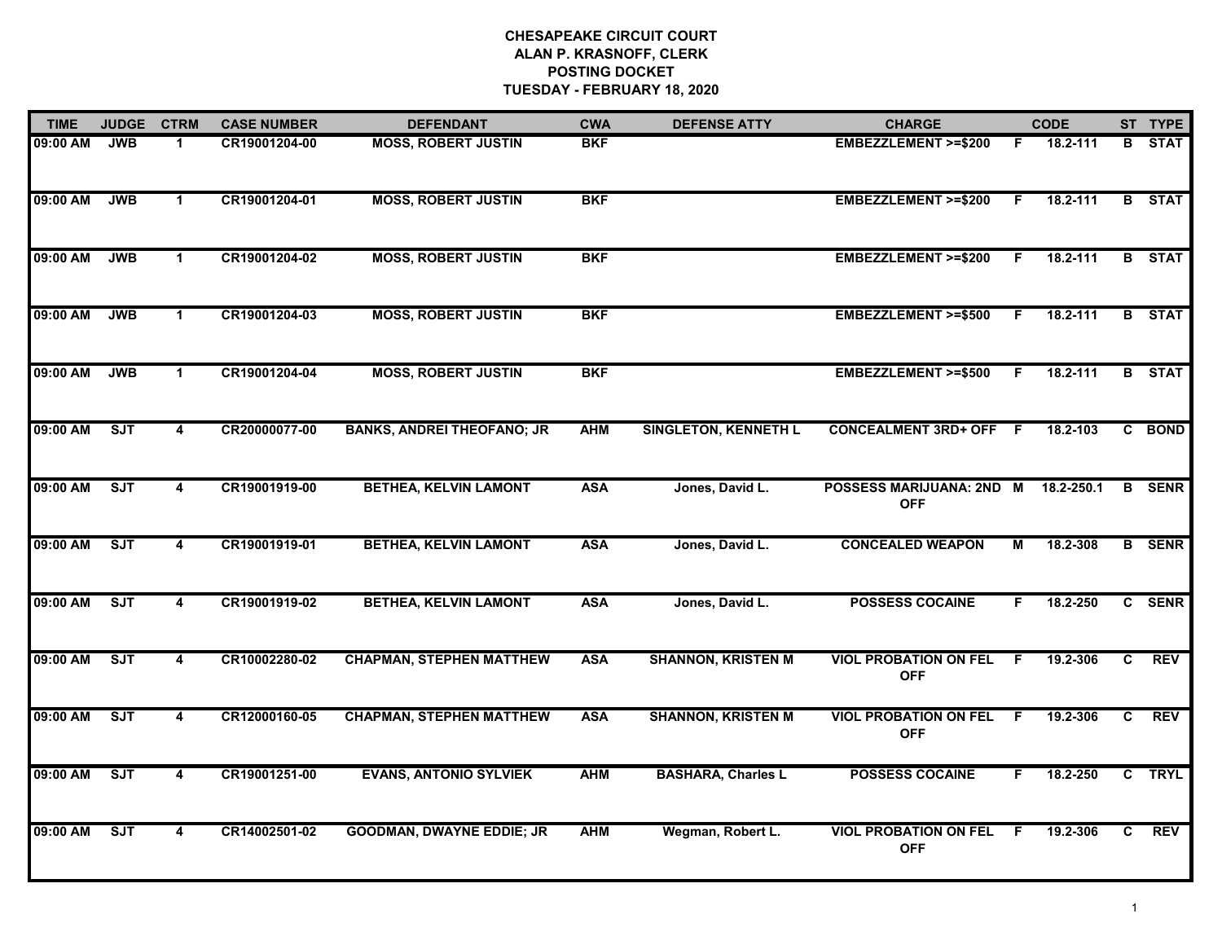| <b>TIME</b> | <b>JUDGE</b> | <b>CTRM</b>  | <b>CASE NUMBER</b> | <b>DEFENDANT</b>                  | <b>CWA</b> | <b>DEFENSE ATTY</b>         | <b>CHARGE</b>                              |    | <b>CODE</b>  |    | ST TYPE       |
|-------------|--------------|--------------|--------------------|-----------------------------------|------------|-----------------------------|--------------------------------------------|----|--------------|----|---------------|
| 09:00 AM    | <b>JWB</b>   | -1           | CR19001204-00      | <b>MOSS, ROBERT JUSTIN</b>        | <b>BKF</b> |                             | <b>EMBEZZLEMENT &gt;=\$200</b>             | F. | 18.2-111     | в. | <b>STAT</b>   |
| 09:00 AM    | <b>JWB</b>   | $\mathbf{1}$ | CR19001204-01      | <b>MOSS, ROBERT JUSTIN</b>        | <b>BKF</b> |                             | <b>EMBEZZLEMENT &gt;=\$200</b>             | F. | $18.2 - 111$ |    | <b>B</b> STAT |
| 09:00 AM    | <b>JWB</b>   | $\mathbf 1$  | CR19001204-02      | <b>MOSS, ROBERT JUSTIN</b>        | <b>BKF</b> |                             | <b>EMBEZZLEMENT &gt;=\$200</b>             | F  | 18.2-111     |    | <b>B</b> STAT |
| 09:00 AM    | <b>JWB</b>   | $\mathbf 1$  | CR19001204-03      | <b>MOSS, ROBERT JUSTIN</b>        | <b>BKF</b> |                             | <b>EMBEZZLEMENT &gt;=\$500</b>             | F. | 18.2-111     |    | <b>B</b> STAT |
| 09:00 AM    | <b>JWB</b>   | $\mathbf 1$  | CR19001204-04      | <b>MOSS, ROBERT JUSTIN</b>        | <b>BKF</b> |                             | <b>EMBEZZLEMENT &gt;=\$500</b>             | F. | 18.2-111     |    | <b>B</b> STAT |
| 09:00 AM    | SJT          | 4            | CR20000077-00      | <b>BANKS, ANDREI THEOFANO; JR</b> | <b>AHM</b> | <b>SINGLETON, KENNETH L</b> | <b>CONCEALMENT 3RD+ OFF F</b>              |    | 18.2-103     |    | C BOND        |
| 09:00 AM    | SJT          | 4            | CR19001919-00      | <b>BETHEA, KELVIN LAMONT</b>      | <b>ASA</b> | Jones, David L.             | POSSESS MARIJUANA: 2ND M<br><b>OFF</b>     |    | 18.2-250.1   | B  | <b>SENR</b>   |
| 09:00 AM    | SJT          | 4            | CR19001919-01      | <b>BETHEA, KELVIN LAMONT</b>      | <b>ASA</b> | Jones, David L.             | <b>CONCEALED WEAPON</b>                    | М  | 18.2-308     |    | <b>B</b> SENR |
| 09:00 AM    | SJT          | 4            | CR19001919-02      | <b>BETHEA, KELVIN LAMONT</b>      | <b>ASA</b> | Jones, David L.             | <b>POSSESS COCAINE</b>                     | F. | 18.2-250     |    | C SENR        |
| 09:00 AM    | ST           | 4            | CR10002280-02      | <b>CHAPMAN, STEPHEN MATTHEW</b>   | <b>ASA</b> | <b>SHANNON, KRISTEN M</b>   | <b>VIOL PROBATION ON FEL</b><br><b>OFF</b> | F  | 19.2-306     | C  | <b>REV</b>    |
| 09:00 AM    | SJT          | 4            | CR12000160-05      | <b>CHAPMAN, STEPHEN MATTHEW</b>   | <b>ASA</b> | <b>SHANNON, KRISTEN M</b>   | <b>VIOL PROBATION ON FEL</b><br><b>OFF</b> | F. | 19.2-306     | C  | <b>REV</b>    |
| 09:00 AM    | ST           | 4            | CR19001251-00      | <b>EVANS, ANTONIO SYLVIEK</b>     | <b>AHM</b> | <b>BASHARA, Charles L</b>   | <b>POSSESS COCAINE</b>                     | F. | 18.2-250     |    | C TRYL        |
| 09:00 AM    | ST           | 4            | CR14002501-02      | <b>GOODMAN, DWAYNE EDDIE; JR</b>  | <b>AHM</b> | Wegman, Robert L.           | <b>VIOL PROBATION ON FEL</b><br><b>OFF</b> | F. | 19.2-306     | C  | <b>REV</b>    |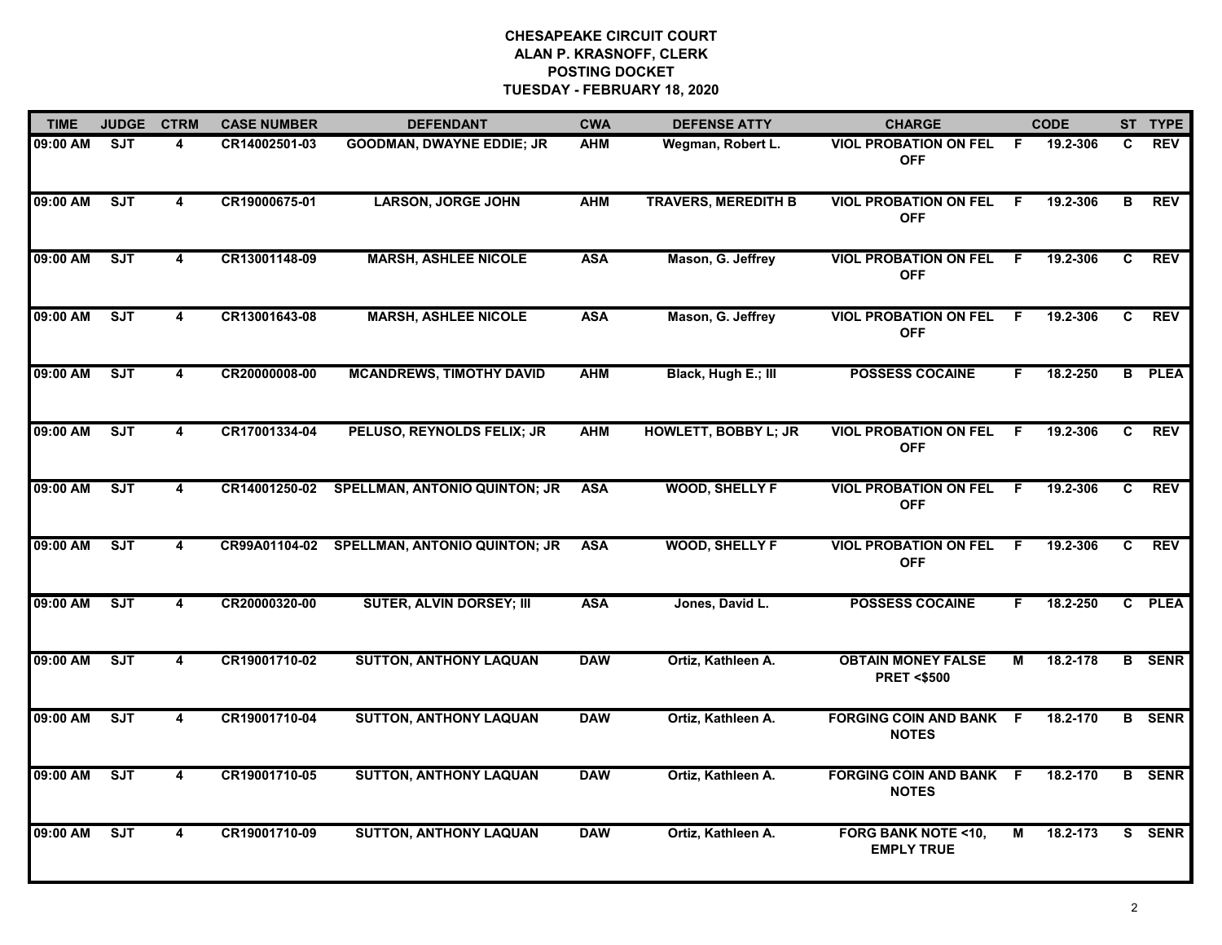| <b>TIME</b> | <b>JUDGE</b> | <b>CTRM</b>             | <b>CASE NUMBER</b> | <b>DEFENDANT</b>                     | <b>CWA</b> | <b>DEFENSE ATTY</b>         | <b>CHARGE</b>                                      |     | <b>CODE</b> |              | ST TYPE       |
|-------------|--------------|-------------------------|--------------------|--------------------------------------|------------|-----------------------------|----------------------------------------------------|-----|-------------|--------------|---------------|
| 09:00 AM    | <b>SJT</b>   | 4                       | CR14002501-03      | <b>GOODMAN, DWAYNE EDDIE; JR</b>     | <b>AHM</b> | Wegman, Robert L.           | <b>VIOL PROBATION ON FEL</b><br><b>OFF</b>         | -F  | 19.2-306    | C.           | <b>REV</b>    |
| 09:00 AM    | ST           | 4                       | CR19000675-01      | <b>LARSON, JORGE JOHN</b>            | <b>AHM</b> | <b>TRAVERS, MEREDITH B</b>  | <b>VIOL PROBATION ON FEL</b><br><b>OFF</b>         | -F  | 19.2-306    | B            | <b>REV</b>    |
| 09:00 AM    | SJT          | 4                       | CR13001148-09      | <b>MARSH, ASHLEE NICOLE</b>          | <b>ASA</b> | Mason, G. Jeffrey           | <b>VIOL PROBATION ON FEL</b><br><b>OFF</b>         | E   | 19.2-306    | $\mathbf{c}$ | <b>REV</b>    |
| 09:00 AM    | <b>SJT</b>   | 4                       | CR13001643-08      | <b>MARSH, ASHLEE NICOLE</b>          | <b>ASA</b> | Mason, G. Jeffrey           | <b>VIOL PROBATION ON FEL</b><br><b>OFF</b>         | F   | 19.2-306    | C.           | <b>REV</b>    |
| 09:00 AM    | ST           | 4                       | CR20000008-00      | <b>MCANDREWS, TIMOTHY DAVID</b>      | <b>AHM</b> | Black, Hugh E.; III         | <b>POSSESS COCAINE</b>                             | F.  | 18.2-250    |              | <b>B</b> PLEA |
| 09:00 AM    | SJT          | 4                       | CR17001334-04      | PELUSO, REYNOLDS FELIX; JR           | <b>AHM</b> | <b>HOWLETT, BOBBY L; JR</b> | <b>VIOL PROBATION ON FEL</b><br><b>OFF</b>         | -F  | 19.2-306    | C.           | <b>REV</b>    |
| 09:00 AM    | <b>SJT</b>   | $\overline{\mathbf{4}}$ | CR14001250-02      | <b>SPELLMAN, ANTONIO QUINTON; JR</b> | <b>ASA</b> | <b>WOOD, SHELLY F</b>       | <b>VIOL PROBATION ON FEL</b><br><b>OFF</b>         | - F | 19.2-306    | C            | <b>REV</b>    |
| 09:00 AM    | SJT          | 4                       | CR99A01104-02      | <b>SPELLMAN, ANTONIO QUINTON; JR</b> | <b>ASA</b> | <b>WOOD, SHELLY F</b>       | <b>VIOL PROBATION ON FEL</b><br><b>OFF</b>         | F.  | 19.2-306    | $\mathbf{C}$ | <b>REV</b>    |
| 09:00 AM    | <b>SJT</b>   | 4                       | CR20000320-00      | <b>SUTER, ALVIN DORSEY; III</b>      | <b>ASA</b> | Jones, David L.             | <b>POSSESS COCAINE</b>                             | F.  | 18.2-250    |              | C PLEA        |
| 09:00 AM    | ST           | 4                       | CR19001710-02      | <b>SUTTON, ANTHONY LAQUAN</b>        | <b>DAW</b> | Ortiz, Kathleen A.          | <b>OBTAIN MONEY FALSE</b><br><b>PRET &lt;\$500</b> | М   | 18.2-178    |              | <b>B</b> SENR |
| 09:00 AM    | SJT          | 4                       | CR19001710-04      | <b>SUTTON, ANTHONY LAQUAN</b>        | <b>DAW</b> | Ortiz, Kathleen A.          | <b>FORGING COIN AND BANK F</b><br><b>NOTES</b>     |     | 18.2-170    |              | <b>B</b> SENR |
| 09:00 AM    | ST           | 4                       | CR19001710-05      | <b>SUTTON, ANTHONY LAQUAN</b>        | <b>DAW</b> | Ortiz, Kathleen A.          | <b>FORGING COIN AND BANK F</b><br><b>NOTES</b>     |     | 18.2-170    | B.           | <b>SENR</b>   |
| 09:00 AM    | SJT          | 4                       | CR19001710-09      | <b>SUTTON, ANTHONY LAQUAN</b>        | <b>DAW</b> | Ortiz, Kathleen A.          | <b>FORG BANK NOTE &lt;10,</b><br><b>EMPLY TRUE</b> | М   | 18.2-173    |              | S SENR        |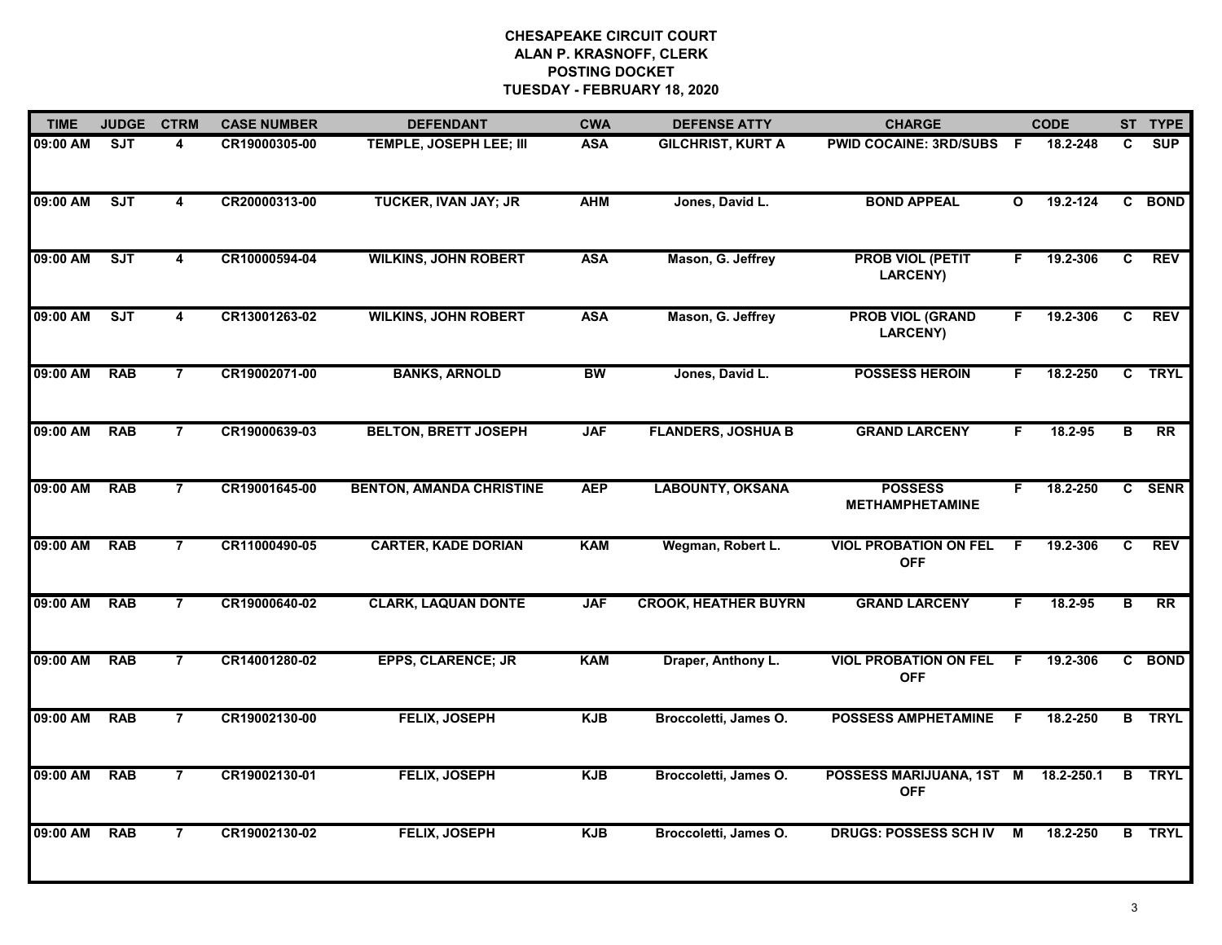| <b>TIME</b> | <b>JUDGE</b> | <b>CTRM</b>    | <b>CASE NUMBER</b> | <b>DEFENDANT</b>                | <b>CWA</b> | <b>DEFENSE ATTY</b>         | <b>CHARGE</b>                              |                         | <b>CODE</b> |              | ST TYPE         |
|-------------|--------------|----------------|--------------------|---------------------------------|------------|-----------------------------|--------------------------------------------|-------------------------|-------------|--------------|-----------------|
| 09:00 AM    | ST           | 4              | CR19000305-00      | TEMPLE, JOSEPH LEE; III         | <b>ASA</b> | <b>GILCHRIST, KURT A</b>    | <b>PWID COCAINE: 3RD/SUBS F</b>            |                         | 18.2-248    | C.           | SUP             |
| 09:00 AM    | ST           | $\overline{4}$ | CR20000313-00      | <b>TUCKER, IVAN JAY; JR</b>     | <b>AHM</b> | Jones, David L.             | <b>BOND APPEAL</b>                         | $\overline{\mathbf{o}}$ | 19.2-124    | C            | <b>BOND</b>     |
| 09:00 AM    | SJT          | 4              | CR10000594-04      | <b>WILKINS, JOHN ROBERT</b>     | <b>ASA</b> | Mason, G. Jeffrey           | <b>PROB VIOL (PETIT</b><br><b>LARCENY)</b> | F.                      | 19.2-306    | $\mathbf{C}$ | <b>REV</b>      |
| 09:00 AM    | SJT          | 4              | CR13001263-02      | <b>WILKINS, JOHN ROBERT</b>     | <b>ASA</b> | Mason, G. Jeffrey           | <b>PROB VIOL (GRAND</b><br><b>LARCENY)</b> | F.                      | 19.2-306    | C            | <b>REV</b>      |
| 09:00 AM    | <b>RAB</b>   | 7              | CR19002071-00      | <b>BANKS, ARNOLD</b>            | BW         | Jones, David L.             | <b>POSSESS HEROIN</b>                      | F.                      | 18.2-250    |              | C TRYL          |
| 09:00 AM    | <b>RAB</b>   | $\overline{7}$ | CR19000639-03      | <b>BELTON, BRETT JOSEPH</b>     | <b>JAF</b> | <b>FLANDERS, JOSHUA B</b>   | <b>GRAND LARCENY</b>                       | F.                      | 18.2-95     | в            | $\overline{RR}$ |
| 09:00 AM    | <b>RAB</b>   | $\overline{7}$ | CR19001645-00      | <b>BENTON, AMANDA CHRISTINE</b> | <b>AEP</b> | <b>LABOUNTY, OKSANA</b>     | <b>POSSESS</b><br><b>METHAMPHETAMINE</b>   | F                       | 18.2-250    |              | C SENR          |
| 09:00 AM    | <b>RAB</b>   | $\overline{7}$ | CR11000490-05      | <b>CARTER, KADE DORIAN</b>      | <b>KAM</b> | Wegman, Robert L.           | <b>VIOL PROBATION ON FEL</b><br><b>OFF</b> | F.                      | 19.2-306    | $\mathbf{C}$ | <b>REV</b>      |
| 09:00 AM    | <b>RAB</b>   | $\overline{7}$ | CR19000640-02      | <b>CLARK, LAQUAN DONTE</b>      | <b>JAF</b> | <b>CROOK, HEATHER BUYRN</b> | <b>GRAND LARCENY</b>                       | F.                      | 18.2-95     | в            | RR              |
| 09:00 AM    | <b>RAB</b>   | $\overline{7}$ | CR14001280-02      | <b>EPPS, CLARENCE; JR</b>       | <b>KAM</b> | Draper, Anthony L.          | <b>VIOL PROBATION ON FEL</b><br><b>OFF</b> | -F                      | 19.2-306    | C.           | <b>BOND</b>     |
| 09:00 AM    | <b>RAB</b>   | $\overline{7}$ | CR19002130-00      | <b>FELIX, JOSEPH</b>            | <b>KJB</b> | Broccoletti, James O.       | <b>POSSESS AMPHETAMINE</b>                 | F                       | 18.2-250    |              | <b>B</b> TRYL   |
| 09:00 AM    | <b>RAB</b>   | $\overline{7}$ | CR19002130-01      | <b>FELIX, JOSEPH</b>            | <b>KJB</b> | Broccoletti, James O.       | POSSESS MARIJUANA, 1ST M<br><b>OFF</b>     |                         | 18.2-250.1  |              | <b>B</b> TRYL   |
| 09:00 AM    | <b>RAB</b>   | $\overline{7}$ | CR19002130-02      | FELIX, JOSEPH                   | <b>KJB</b> | Broccoletti, James O.       | <b>DRUGS: POSSESS SCH IV</b>               | М                       | 18.2-250    |              | <b>B</b> TRYL   |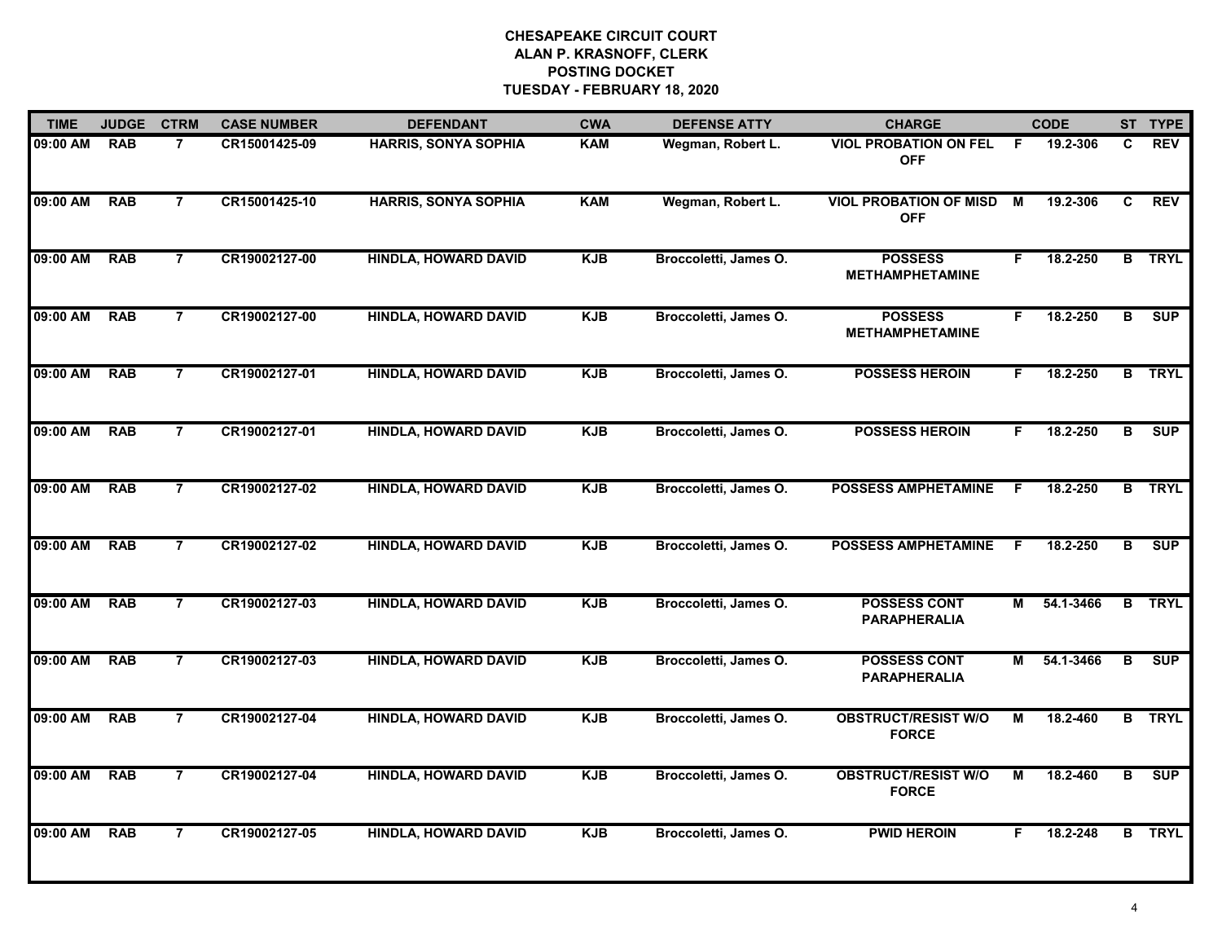| <b>TIME</b> | <b>JUDGE</b> | <b>CTRM</b>    | <b>CASE NUMBER</b> | <b>DEFENDANT</b>            | <b>CWA</b> | <b>DEFENSE ATTY</b>   | <b>CHARGE</b>                               |    | <b>CODE</b> |                         | ST TYPE       |
|-------------|--------------|----------------|--------------------|-----------------------------|------------|-----------------------|---------------------------------------------|----|-------------|-------------------------|---------------|
| 09:00 AM    | <b>RAB</b>   | $\overline{7}$ | CR15001425-09      | <b>HARRIS, SONYA SOPHIA</b> | <b>KAM</b> | Wegman, Robert L.     | <b>VIOL PROBATION ON FEL</b><br><b>OFF</b>  | -F | 19.2-306    | C                       | <b>REV</b>    |
| 09:00 AM    | <b>RAB</b>   | $\overline{7}$ | CR15001425-10      | <b>HARRIS, SONYA SOPHIA</b> | <b>KAM</b> | Wegman, Robert L.     | <b>VIOL PROBATION OF MISD</b><br><b>OFF</b> | M  | 19.2-306    | C                       | <b>REV</b>    |
| 09:00 AM    | <b>RAB</b>   | $\overline{7}$ | CR19002127-00      | <b>HINDLA, HOWARD DAVID</b> | <b>KJB</b> | Broccoletti, James O. | <b>POSSESS</b><br><b>METHAMPHETAMINE</b>    | F. | 18.2-250    |                         | <b>B</b> TRYL |
| 09:00 AM    | <b>RAB</b>   | $\overline{7}$ | CR19002127-00      | <b>HINDLA, HOWARD DAVID</b> | <b>KJB</b> | Broccoletti, James O. | <b>POSSESS</b><br><b>METHAMPHETAMINE</b>    | F. | 18.2-250    | в                       | SUP           |
| 09:00 AM    | <b>RAB</b>   | $\overline{7}$ | CR19002127-01      | <b>HINDLA, HOWARD DAVID</b> | <b>KJB</b> | Broccoletti, James O. | <b>POSSESS HEROIN</b>                       | F. | 18.2-250    |                         | <b>B</b> TRYL |
| 09:00 AM    | RAB          | $\overline{7}$ | CR19002127-01      | <b>HINDLA, HOWARD DAVID</b> | <b>KJB</b> | Broccoletti, James O. | <b>POSSESS HEROIN</b>                       | F. | 18.2-250    | $\overline{\mathbf{B}}$ | SUP           |
| 09:00 AM    | <b>RAB</b>   | $\overline{7}$ | CR19002127-02      | <b>HINDLA, HOWARD DAVID</b> | <b>KJB</b> | Broccoletti, James O. | <b>POSSESS AMPHETAMINE</b>                  | -F | 18.2-250    |                         | <b>B</b> TRYL |
| 09:00 AM    | <b>RAB</b>   | $\overline{7}$ | CR19002127-02      | <b>HINDLA, HOWARD DAVID</b> | <b>KJB</b> | Broccoletti, James O. | <b>POSSESS AMPHETAMINE</b>                  | F  | 18.2-250    | $\overline{\mathbf{B}}$ | <b>SUP</b>    |
| 09:00 AM    | <b>RAB</b>   | $\overline{7}$ | CR19002127-03      | <b>HINDLA, HOWARD DAVID</b> | <b>KJB</b> | Broccoletti, James O. | <b>POSSESS CONT</b><br><b>PARAPHERALIA</b>  | М  | 54.1-3466   |                         | <b>B</b> TRYL |
| 09:00 AM    | <b>RAB</b>   | 7              | CR19002127-03      | <b>HINDLA, HOWARD DAVID</b> | <b>KJB</b> | Broccoletti, James O. | <b>POSSESS CONT</b><br><b>PARAPHERALIA</b>  | М  | 54.1-3466   | В                       | SUP           |
| 09:00 AM    | <b>RAB</b>   | $\overline{7}$ | CR19002127-04      | <b>HINDLA, HOWARD DAVID</b> | <b>KJB</b> | Broccoletti, James O. | <b>OBSTRUCT/RESIST W/O</b><br><b>FORCE</b>  | М  | 18.2-460    |                         | <b>B</b> TRYL |
| 09:00 AM    | <b>RAB</b>   | $\overline{7}$ | CR19002127-04      | <b>HINDLA, HOWARD DAVID</b> | <b>KJB</b> | Broccoletti, James O. | <b>OBSTRUCT/RESIST W/O</b><br><b>FORCE</b>  | М  | 18.2-460    | B                       | SUP           |
| 09:00 AM    | <b>RAB</b>   | $\overline{7}$ | CR19002127-05      | <b>HINDLA, HOWARD DAVID</b> | <b>KJB</b> | Broccoletti, James O. | <b>PWID HEROIN</b>                          | F. | 18.2-248    |                         | <b>B</b> TRYL |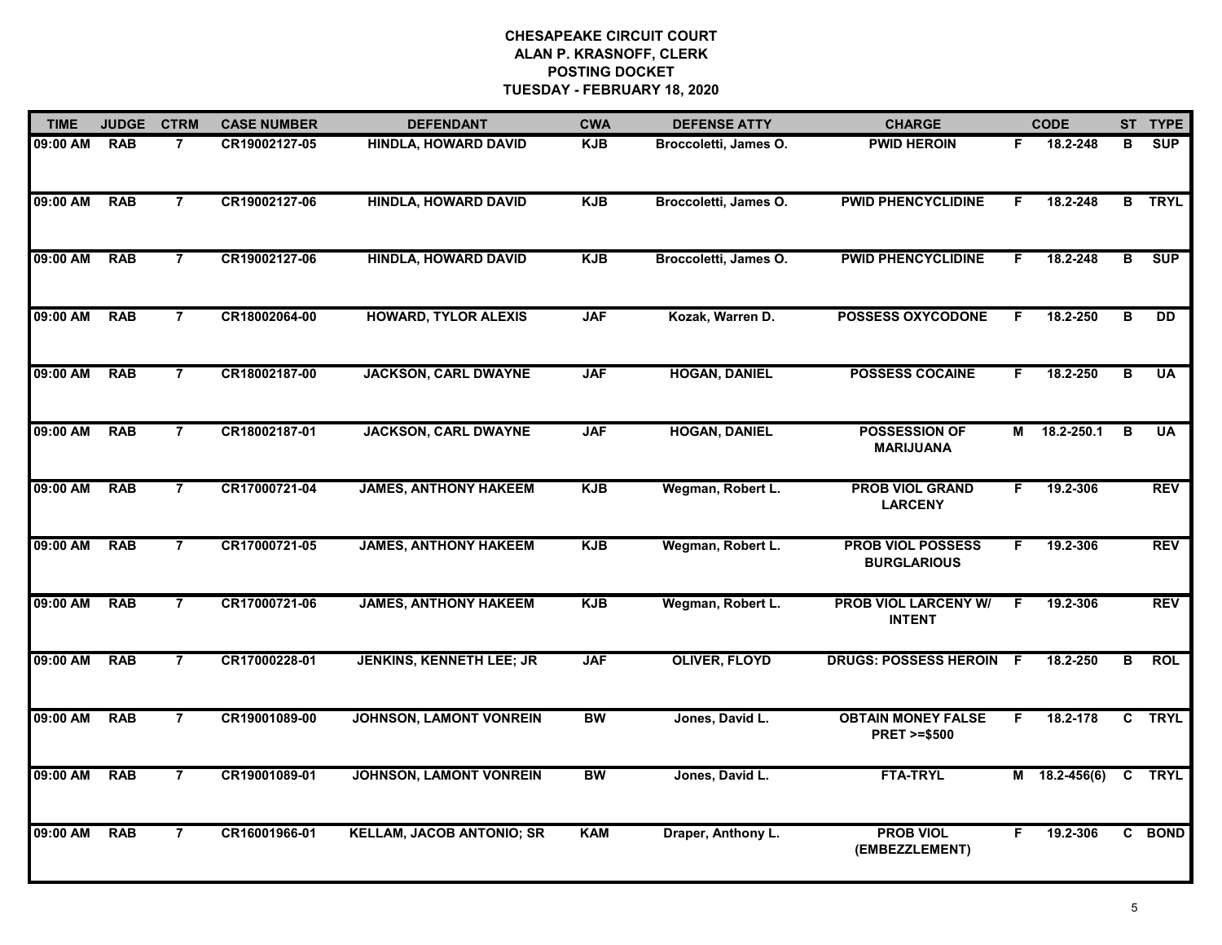| <b>TIME</b> | <b>JUDGE</b> | <b>CTRM</b>    | <b>CASE NUMBER</b> | <b>DEFENDANT</b>                 | <b>CWA</b> | <b>DEFENSE ATTY</b>   | <b>CHARGE</b>                                       |    | <b>CODE</b>     |   | ST TYPE     |
|-------------|--------------|----------------|--------------------|----------------------------------|------------|-----------------------|-----------------------------------------------------|----|-----------------|---|-------------|
| 09:00 AM    | <b>RAB</b>   | $\overline{7}$ | CR19002127-05      | <b>HINDLA, HOWARD DAVID</b>      | KJB        | Broccoletti, James O. | <b>PWID HEROIN</b>                                  | F. | 18.2-248        | в | <b>SUP</b>  |
| 09:00 AM    | <b>RAB</b>   | $\overline{7}$ | CR19002127-06      | <b>HINDLA, HOWARD DAVID</b>      | <b>KJB</b> | Broccoletti, James O. | <b>PWID PHENCYCLIDINE</b>                           | F. | 18.2-248        | B | <b>TRYL</b> |
| 09:00 AM    | <b>RAB</b>   | $\overline{7}$ | CR19002127-06      | <b>HINDLA, HOWARD DAVID</b>      | <b>KJB</b> | Broccoletti, James O. | <b>PWID PHENCYCLIDINE</b>                           | F. | 18.2-248        | B | <b>SUP</b>  |
| 09:00 AM    | <b>RAB</b>   | $\overline{7}$ | CR18002064-00      | <b>HOWARD, TYLOR ALEXIS</b>      | <b>JAF</b> | Kozak, Warren D.      | <b>POSSESS OXYCODONE</b>                            | F. | 18.2-250        | в | DD          |
| 09:00 AM    | <b>RAB</b>   | $\overline{7}$ | CR18002187-00      | <b>JACKSON, CARL DWAYNE</b>      | <b>JAF</b> | <b>HOGAN, DANIEL</b>  | <b>POSSESS COCAINE</b>                              | F. | 18.2-250        | в | <b>UA</b>   |
| 09:00 AM    | <b>RAB</b>   | $\overline{7}$ | CR18002187-01      | <b>JACKSON, CARL DWAYNE</b>      | <b>JAF</b> | <b>HOGAN, DANIEL</b>  | <b>POSSESSION OF</b><br><b>MARIJUANA</b>            | M  | 18.2-250.1      | B | <b>UA</b>   |
| 09:00 AM    | <b>RAB</b>   | $\overline{7}$ | CR17000721-04      | <b>JAMES, ANTHONY HAKEEM</b>     | <b>KJB</b> | Wegman, Robert L.     | <b>PROB VIOL GRAND</b><br><b>LARCENY</b>            | F. | 19.2-306        |   | <b>REV</b>  |
| 09:00 AM    | <b>RAB</b>   | $\overline{7}$ | CR17000721-05      | <b>JAMES, ANTHONY HAKEEM</b>     | <b>KJB</b> | Wegman, Robert L.     | <b>PROB VIOL POSSESS</b><br><b>BURGLARIOUS</b>      | F. | 19.2-306        |   | <b>REV</b>  |
| 09:00 AM    | <b>RAB</b>   | $\overline{7}$ | CR17000721-06      | <b>JAMES, ANTHONY HAKEEM</b>     | <b>KJB</b> | Wegman, Robert L.     | <b>PROB VIOL LARCENY W/</b><br><b>INTENT</b>        | F  | 19.2-306        |   | <b>REV</b>  |
| 09:00 AM    | <b>RAB</b>   | $\overline{7}$ | CR17000228-01      | <b>JENKINS, KENNETH LEE; JR</b>  | <b>JAF</b> | <b>OLIVER, FLOYD</b>  | <b>DRUGS: POSSESS HEROIN</b>                        | -F | 18.2-250        | в | <b>ROL</b>  |
| 09:00 AM    | <b>RAB</b>   | $\overline{7}$ | CR19001089-00      | <b>JOHNSON, LAMONT VONREIN</b>   | BW         | Jones, David L.       | <b>OBTAIN MONEY FALSE</b><br><b>PRET &gt;=\$500</b> | F. | 18.2-178        |   | C TRYL      |
| 09:00 AM    | <b>RAB</b>   | $\overline{7}$ | CR19001089-01      | <b>JOHNSON, LAMONT VONREIN</b>   | <b>BW</b>  | Jones, David L.       | <b>FTA-TRYL</b>                                     |    | M 18.2-456(6) C |   | <b>TRYL</b> |
| 09:00 AM    | <b>RAB</b>   | $\overline{7}$ | CR16001966-01      | <b>KELLAM, JACOB ANTONIO; SR</b> | <b>KAM</b> | Draper, Anthony L.    | <b>PROB VIOL</b><br>(EMBEZZLEMENT)                  | F. | 19.2-306        |   | C BOND      |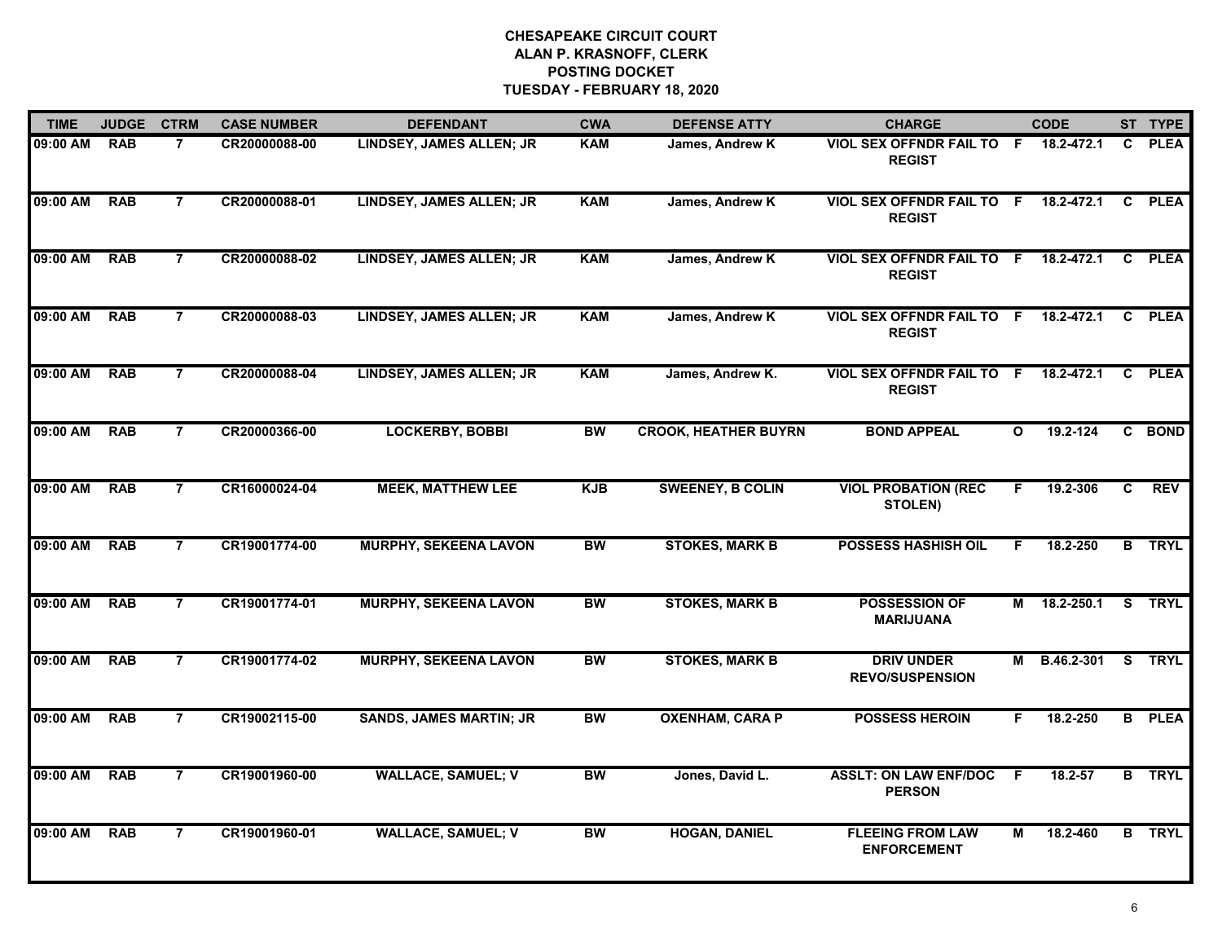| <b>TIME</b> | <b>JUDGE</b> | <b>CTRM</b>    | <b>CASE NUMBER</b> | <b>DEFENDANT</b>                | <b>CWA</b> | <b>DEFENSE ATTY</b>         | <b>CHARGE</b>                                         |              | <b>CODE</b>       |              | ST TYPE       |
|-------------|--------------|----------------|--------------------|---------------------------------|------------|-----------------------------|-------------------------------------------------------|--------------|-------------------|--------------|---------------|
| 09:00 AM    | <b>RAB</b>   | $\overline{7}$ | CR20000088-00      | LINDSEY, JAMES ALLEN; JR        | <b>KAM</b> | James, Andrew K             | VIOL SEX OFFNDR FAIL TO F<br><b>REGIST</b>            |              | 18.2-472.1        | $\mathbf{c}$ | <b>PLEA</b>   |
| 09:00 AM    | <b>RAB</b>   | $\overline{7}$ | CR20000088-01      | <b>LINDSEY, JAMES ALLEN; JR</b> | <b>KAM</b> | James, Andrew K             | <b>VIOL SEX OFFNDR FAIL TO F</b><br><b>REGIST</b>     |              | 18.2-472.1        | C            | <b>PLEA</b>   |
| 09:00 AM    | <b>RAB</b>   | $\overline{7}$ | CR20000088-02      | <b>LINDSEY, JAMES ALLEN; JR</b> | <b>KAM</b> | James, Andrew K             | <b>VIOL SEX OFFNDR FAIL TO</b><br><b>REGIST</b>       | F.           | 18.2-472.1        | C.           | <b>PLEA</b>   |
| 09:00 AM    | <b>RAB</b>   | $\overline{7}$ | CR20000088-03      | LINDSEY, JAMES ALLEN; JR        | <b>KAM</b> | James, Andrew K             | VIOL SEX OFFNDR FAIL TO F 18.2-472.1<br><b>REGIST</b> |              |                   | C            | <b>PLEA</b>   |
| 09:00 AM    | <b>RAB</b>   | 7              | CR20000088-04      | <b>LINDSEY, JAMES ALLEN; JR</b> | <b>KAM</b> | James, Andrew K.            | VIOL SEX OFFNDR FAIL TO F 18.2-472.1<br><b>REGIST</b> |              |                   | C.           | <b>PLEA</b>   |
| 09:00 AM    | <b>RAB</b>   | $\overline{7}$ | CR20000366-00      | <b>LOCKERBY, BOBBI</b>          | <b>BW</b>  | <b>CROOK, HEATHER BUYRN</b> | <b>BOND APPEAL</b>                                    | $\mathbf{o}$ | 19.2-124          |              | C BOND        |
| 09:00 AM    | <b>RAB</b>   | $\overline{7}$ | CR16000024-04      | <b>MEEK, MATTHEW LEE</b>        | <b>KJB</b> | <b>SWEENEY, B COLIN</b>     | <b>VIOL PROBATION (REC</b><br><b>STOLEN)</b>          | F.           | 19.2-306          | C            | <b>REV</b>    |
| 09:00 AM    | <b>RAB</b>   | $\overline{7}$ | CR19001774-00      | <b>MURPHY, SEKEENA LAVON</b>    | <b>BW</b>  | <b>STOKES, MARK B</b>       | <b>POSSESS HASHISH OIL</b>                            | F.           | 18.2-250          |              | <b>B</b> TRYL |
| 09:00 AM    | <b>RAB</b>   | $\overline{7}$ | CR19001774-01      | <b>MURPHY, SEKEENA LAVON</b>    | <b>BW</b>  | <b>STOKES, MARK B</b>       | <b>POSSESSION OF</b><br><b>MARIJUANA</b>              |              | M 18.2-250.1      |              | S TRYL        |
| 09:00 AM    | <b>RAB</b>   | $\overline{7}$ | CR19001774-02      | <b>MURPHY, SEKEENA LAVON</b>    | <b>BW</b>  | <b>STOKES, MARK B</b>       | <b>DRIV UNDER</b><br><b>REVO/SUSPENSION</b>           | М            | <b>B.46.2-301</b> |              | S TRYL        |
| 09:00 AM    | <b>RAB</b>   | $\overline{7}$ | CR19002115-00      | <b>SANDS, JAMES MARTIN; JR</b>  | BW         | <b>OXENHAM, CARA P</b>      | <b>POSSESS HEROIN</b>                                 | F            | 18.2-250          |              | <b>B</b> PLEA |
| 09:00 AM    | <b>RAB</b>   | $\overline{7}$ | CR19001960-00      | <b>WALLACE, SAMUEL; V</b>       | <b>BW</b>  | Jones, David L.             | <b>ASSLT: ON LAW ENF/DOC</b><br><b>PERSON</b>         | -F           | 18.2-57           |              | <b>B</b> TRYL |
| 09:00 AM    | <b>RAB</b>   | $\overline{7}$ | CR19001960-01      | <b>WALLACE, SAMUEL; V</b>       | <b>BW</b>  | <b>HOGAN, DANIEL</b>        | <b>FLEEING FROM LAW</b><br><b>ENFORCEMENT</b>         | М            | 18.2-460          |              | <b>B</b> TRYL |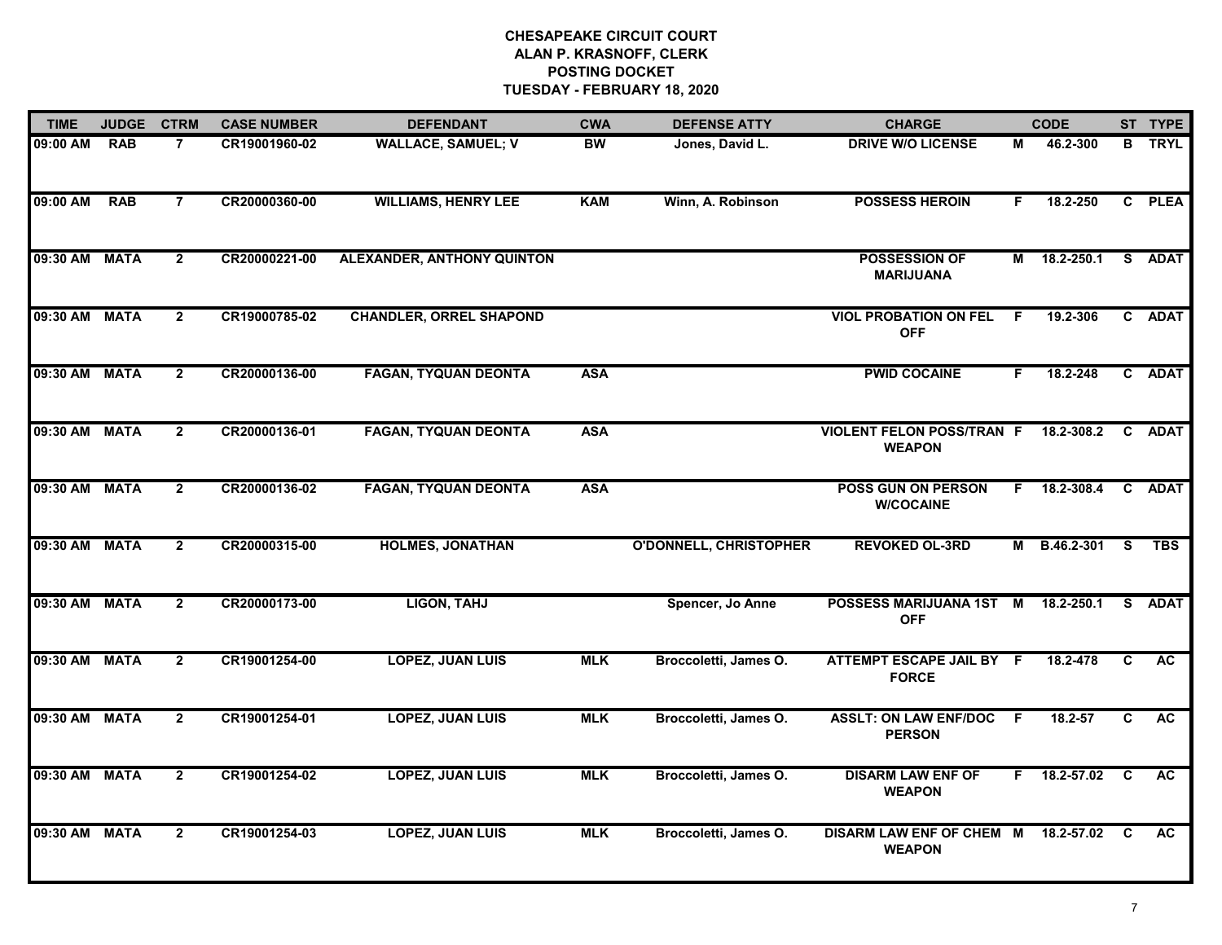| <b>TIME</b>   | <b>JUDGE</b> | <b>CTRM</b>    | <b>CASE NUMBER</b> | <b>DEFENDANT</b>                  | <b>CWA</b> | <b>DEFENSE ATTY</b>           | <b>CHARGE</b>                                     |     | <b>CODE</b>  |              | ST TYPE     |
|---------------|--------------|----------------|--------------------|-----------------------------------|------------|-------------------------------|---------------------------------------------------|-----|--------------|--------------|-------------|
| 09:00 AM      | <b>RAB</b>   | $\overline{7}$ | CR19001960-02      | <b>WALLACE, SAMUEL; V</b>         | BW         | Jones, David L.               | <b>DRIVE W/O LICENSE</b>                          | М   | 46.2-300     | В            | <b>TRYL</b> |
| 09:00 AM      | <b>RAB</b>   | $\overline{7}$ | CR20000360-00      | <b>WILLIAMS, HENRY LEE</b>        | <b>KAM</b> | Winn, A. Robinson             | <b>POSSESS HEROIN</b>                             | F.  | 18.2-250     |              | C PLEA      |
| 09:30 AM MATA |              | $\mathbf{2}$   | CR20000221-00      | <b>ALEXANDER, ANTHONY QUINTON</b> |            |                               | POSSESSION OF<br><b>MARIJUANA</b>                 | М   | 18.2-250.1   |              | S ADAT      |
| 09:30 AM MATA |              | $\overline{2}$ | CR19000785-02      | <b>CHANDLER, ORREL SHAPOND</b>    |            |                               | <b>VIOL PROBATION ON FEL</b><br><b>OFF</b>        | F.  | 19.2-306     |              | C ADAT      |
| 09:30 AM MATA |              | $\overline{2}$ | CR20000136-00      | <b>FAGAN, TYQUAN DEONTA</b>       | <b>ASA</b> |                               | <b>PWID COCAINE</b>                               | F.  | 18.2-248     |              | C ADAT      |
| 09:30 AM MATA |              | $\overline{2}$ | CR20000136-01      | <b>FAGAN, TYQUAN DEONTA</b>       | <b>ASA</b> |                               | <b>VIOLENT FELON POSS/TRAN F</b><br><b>WEAPON</b> |     | 18.2-308.2   |              | C ADAT      |
| 09:30 AM MATA |              | $\overline{2}$ | CR20000136-02      | <b>FAGAN, TYQUAN DEONTA</b>       | <b>ASA</b> |                               | <b>POSS GUN ON PERSON</b><br><b>W/COCAINE</b>     | F.  | 18.2-308.4   |              | C ADAT      |
| 09:30 AM MATA |              | $\overline{2}$ | CR20000315-00      | <b>HOLMES, JONATHAN</b>           |            | <b>O'DONNELL, CHRISTOPHER</b> | <b>REVOKED OL-3RD</b>                             | М   | B.46.2-301   | <b>S</b>     | <b>TBS</b>  |
| 09:30 AM MATA |              | $\overline{2}$ | CR20000173-00      | <b>LIGON, TAHJ</b>                |            | Spencer, Jo Anne              | POSSESS MARIJUANA 1ST<br><b>OFF</b>               | M   | 18.2-250.1   | S.           | <b>ADAT</b> |
| 09:30 AM MATA |              | $\overline{2}$ | CR19001254-00      | <b>LOPEZ, JUAN LUIS</b>           | <b>MLK</b> | Broccoletti, James O.         | ATTEMPT ESCAPE JAIL BY F<br><b>FORCE</b>          |     | 18.2-478     | C            | <b>AC</b>   |
| 09:30 AM MATA |              | $\overline{2}$ | CR19001254-01      | <b>LOPEZ, JUAN LUIS</b>           | <b>MLK</b> | Broccoletti, James O.         | <b>ASSLT: ON LAW ENF/DOC</b><br><b>PERSON</b>     | - F | 18.2-57      | C            | AC          |
| 09:30 AM MATA |              | $\overline{2}$ | CR19001254-02      | <b>LOPEZ, JUAN LUIS</b>           | <b>MLK</b> | Broccoletti, James O.         | <b>DISARM LAW ENF OF</b><br><b>WEAPON</b>         |     | F 18.2-57.02 | C            | AC.         |
| 09:30 AM MATA |              | $\overline{2}$ | CR19001254-03      | <b>LOPEZ, JUAN LUIS</b>           | <b>MLK</b> | Broccoletti, James O.         | <b>DISARM LAW ENF OF CHEM M</b><br><b>WEAPON</b>  |     | 18.2-57.02   | $\mathbf{C}$ | <b>AC</b>   |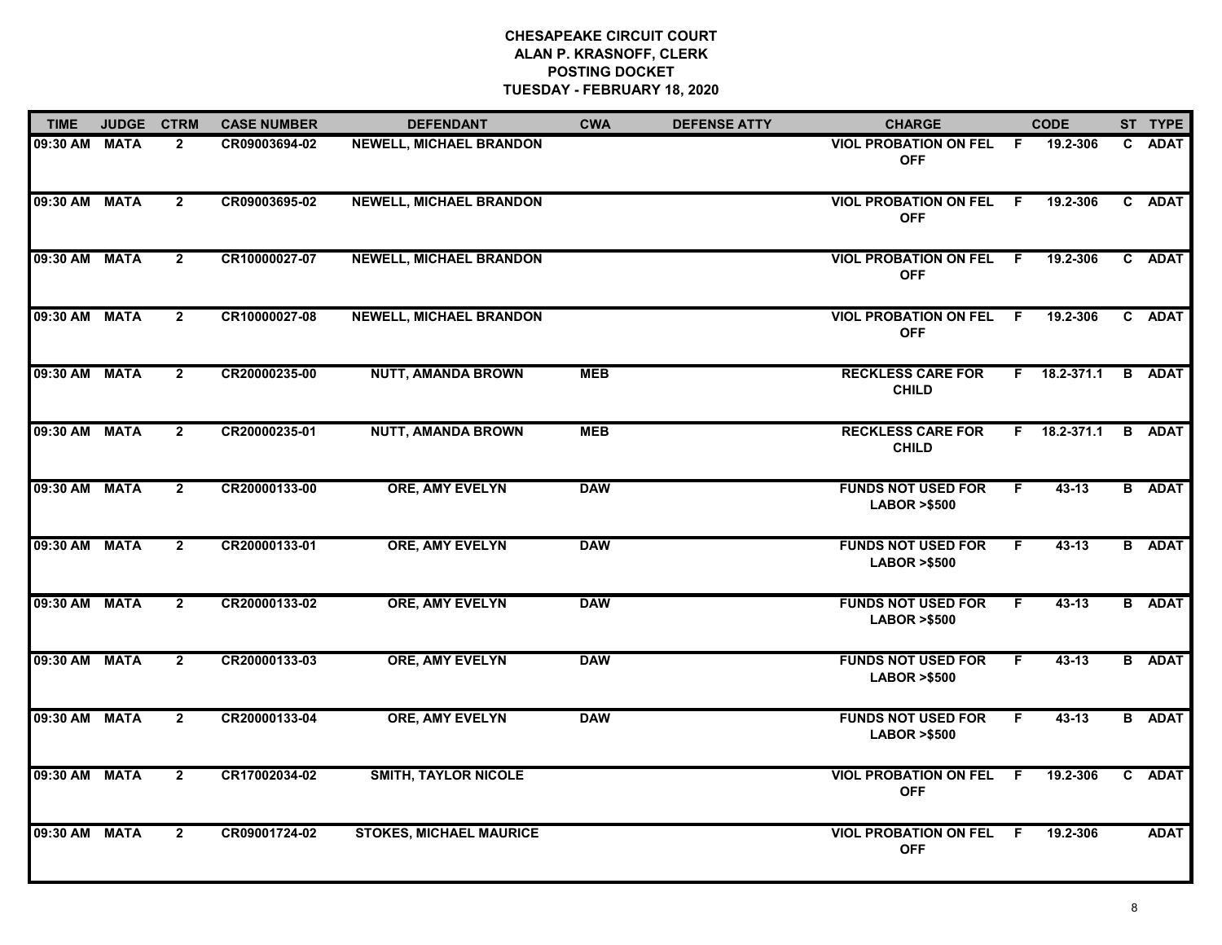| <b>TIME</b>   | <b>JUDGE</b> | <b>CTRM</b>    | <b>CASE NUMBER</b> | <b>DEFENDANT</b>               | <b>CWA</b> | <b>DEFENSE ATTY</b> | <b>CHARGE</b>                                       |     | <b>CODE</b>  |   | ST TYPE       |
|---------------|--------------|----------------|--------------------|--------------------------------|------------|---------------------|-----------------------------------------------------|-----|--------------|---|---------------|
| 09:30 AM MATA |              | $\overline{2}$ | CR09003694-02      | NEWELL, MICHAEL BRANDON        |            |                     | <b>VIOL PROBATION ON FEL</b><br><b>OFF</b>          | F.  | 19.2-306     |   | C ADAT        |
| 09:30 AM MATA |              | $\overline{2}$ | CR09003695-02      | <b>NEWELL, MICHAEL BRANDON</b> |            |                     | <b>VIOL PROBATION ON FEL F</b><br><b>OFF</b>        |     | 19.2-306     |   | C ADAT        |
| 09:30 AM MATA |              | $\mathbf{2}$   | CR10000027-07      | <b>NEWELL, MICHAEL BRANDON</b> |            |                     | <b>VIOL PROBATION ON FEL F</b><br><b>OFF</b>        |     | 19.2-306     |   | C ADAT        |
| 09:30 AM MATA |              | $\overline{2}$ | CR10000027-08      | <b>NEWELL, MICHAEL BRANDON</b> |            |                     | <b>VIOL PROBATION ON FEL</b><br><b>OFF</b>          | - F | 19.2-306     |   | C ADAT        |
| 09:30 AM MATA |              | $\mathbf{2}$   | CR20000235-00      | <b>NUTT, AMANDA BROWN</b>      | <b>MEB</b> |                     | <b>RECKLESS CARE FOR</b><br><b>CHILD</b>            | F.  | 18.2-371.1   |   | <b>B</b> ADAT |
| 09:30 AM MATA |              | $\mathbf{2}$   | CR20000235-01      | <b>NUTT, AMANDA BROWN</b>      | <b>MEB</b> |                     | <b>RECKLESS CARE FOR</b><br><b>CHILD</b>            |     | F 18.2-371.1 | B | <b>ADAT</b>   |
| 09:30 AM MATA |              | $\overline{2}$ | CR20000133-00      | <b>ORE, AMY EVELYN</b>         | <b>DAW</b> |                     | <b>FUNDS NOT USED FOR</b><br><b>LABOR &gt;\$500</b> | F.  | 43-13        |   | <b>B</b> ADAT |
| 09:30 AM MATA |              | $\mathbf{2}$   | CR20000133-01      | <b>ORE, AMY EVELYN</b>         | <b>DAW</b> |                     | <b>FUNDS NOT USED FOR</b><br><b>LABOR &gt;\$500</b> | F.  | 43-13        |   | <b>B</b> ADAT |
| 09:30 AM MATA |              | $\mathbf{2}$   | CR20000133-02      | <b>ORE, AMY EVELYN</b>         | <b>DAW</b> |                     | <b>FUNDS NOT USED FOR</b><br><b>LABOR &gt;\$500</b> | F.  | 43-13        |   | <b>B</b> ADAT |
| 09:30 AM MATA |              | $\overline{2}$ | CR20000133-03      | <b>ORE, AMY EVELYN</b>         | <b>DAW</b> |                     | <b>FUNDS NOT USED FOR</b><br><b>LABOR &gt;\$500</b> | F   | $43 - 13$    |   | <b>B</b> ADAT |
| 09:30 AM MATA |              | $\overline{2}$ | CR20000133-04      | <b>ORE, AMY EVELYN</b>         | <b>DAW</b> |                     | <b>FUNDS NOT USED FOR</b><br><b>LABOR &gt;\$500</b> | F.  | $43 - 13$    |   | <b>B</b> ADAT |
| 09:30 AM      | <b>MATA</b>  | $\overline{2}$ | CR17002034-02      | <b>SMITH, TAYLOR NICOLE</b>    |            |                     | <b>VIOL PROBATION ON FEL</b><br><b>OFF</b>          | F.  | 19.2-306     |   | C ADAT        |
| 09:30 AM MATA |              | $\overline{2}$ | CR09001724-02      | <b>STOKES, MICHAEL MAURICE</b> |            |                     | <b>VIOL PROBATION ON FEL</b><br><b>OFF</b>          | -F  | 19.2-306     |   | <b>ADAT</b>   |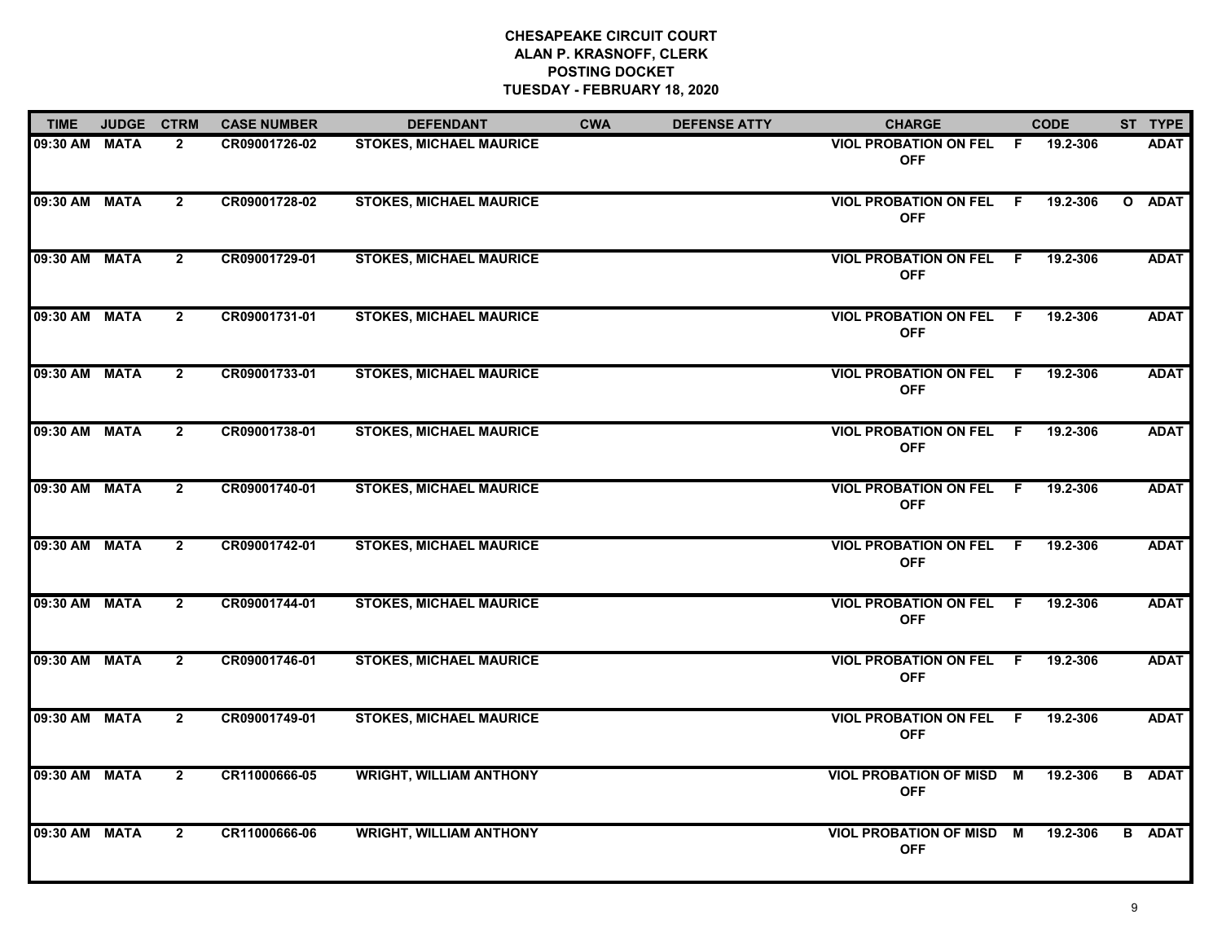| <b>TIME</b>   | JUDGE CTRM  |                | <b>CASE NUMBER</b> | <b>DEFENDANT</b>               | <b>CWA</b> | <b>DEFENSE ATTY</b> | <b>CHARGE</b>                                 |                | <b>CODE</b> | ST TYPE       |
|---------------|-------------|----------------|--------------------|--------------------------------|------------|---------------------|-----------------------------------------------|----------------|-------------|---------------|
| 09:30 AM MATA |             | $\overline{2}$ | CR09001726-02      | <b>STOKES, MICHAEL MAURICE</b> |            |                     | <b>VIOL PROBATION ON FEL</b><br><b>OFF</b>    | -F             | 19.2-306    | <b>ADAT</b>   |
| 09:30 AM MATA |             | $\overline{2}$ | CR09001728-02      | <b>STOKES, MICHAEL MAURICE</b> |            |                     | <b>VIOL PROBATION ON FEL</b><br><b>OFF</b>    | F              | 19.2-306    | O ADAT        |
| 09:30 AM MATA |             | $\mathbf{2}$   | CR09001729-01      | <b>STOKES, MICHAEL MAURICE</b> |            |                     | <b>VIOL PROBATION ON FEL</b><br><b>OFF</b>    | F.             | 19.2-306    | <b>ADAT</b>   |
| 09:30 AM      | <b>MATA</b> | $\overline{2}$ | CR09001731-01      | <b>STOKES, MICHAEL MAURICE</b> |            |                     | <b>VIOL PROBATION ON FEL</b><br><b>OFF</b>    | - F            | 19.2-306    | <b>ADAT</b>   |
| 09:30 AM MATA |             | $\overline{2}$ | CR09001733-01      | <b>STOKES, MICHAEL MAURICE</b> |            |                     | <b>VIOL PROBATION ON FEL F</b><br><b>OFF</b>  |                | 19.2-306    | <b>ADAT</b>   |
| 09:30 AM MATA |             | $\overline{2}$ | CR09001738-01      | <b>STOKES, MICHAEL MAURICE</b> |            |                     | <b>VIOL PROBATION ON FEL</b><br><b>OFF</b>    | F.             | 19.2-306    | <b>ADAT</b>   |
| 09:30 AM      | <b>MATA</b> | $\overline{2}$ | CR09001740-01      | <b>STOKES, MICHAEL MAURICE</b> |            |                     | <b>VIOL PROBATION ON FEL</b><br><b>OFF</b>    | $\overline{F}$ | 19.2-306    | <b>ADAT</b>   |
| 09:30 AM MATA |             | $\mathbf{2}$   | CR09001742-01      | <b>STOKES, MICHAEL MAURICE</b> |            |                     | <b>VIOL PROBATION ON FEL F</b><br><b>OFF</b>  |                | 19.2-306    | <b>ADAT</b>   |
| 09:30 AM MATA |             | $\overline{2}$ | CR09001744-01      | <b>STOKES, MICHAEL MAURICE</b> |            |                     | <b>VIOL PROBATION ON FEL</b><br><b>OFF</b>    | - F            | 19.2-306    | <b>ADAT</b>   |
| 09:30 AM MATA |             | $\mathbf{2}$   | CR09001746-01      | <b>STOKES, MICHAEL MAURICE</b> |            |                     | <b>VIOL PROBATION ON FEL</b><br><b>OFF</b>    | -F             | 19.2-306    | <b>ADAT</b>   |
| 09:30 AM MATA |             | $\overline{2}$ | CR09001749-01      | <b>STOKES, MICHAEL MAURICE</b> |            |                     | <b>VIOL PROBATION ON FEL</b><br><b>OFF</b>    | - F            | 19.2-306    | <b>ADAT</b>   |
| 09:30 AM      | <b>MATA</b> | $\overline{2}$ | CR11000666-05      | <b>WRIGHT, WILLIAM ANTHONY</b> |            |                     | <b>VIOL PROBATION OF MISD M</b><br><b>OFF</b> |                | 19.2-306    | <b>B</b> ADAT |
| 09:30 AM      | <b>MATA</b> | $\overline{2}$ | CR11000666-06      | <b>WRIGHT, WILLIAM ANTHONY</b> |            |                     | <b>VIOL PROBATION OF MISD M</b><br><b>OFF</b> |                | 19.2-306    | <b>B</b> ADAT |